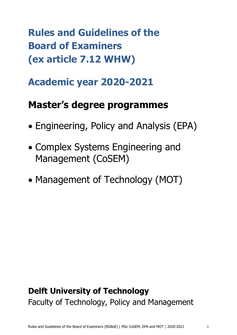**Rules and Guidelines of the Board of Examiners (ex article 7.12 WHW)**

# **Academic year 2020-2021**

# **Master's degree programmes**

- Engineering, Policy and Analysis (EPA)
- Complex Systems Engineering and Management (CoSEM)
- Management of Technology (MOT)

# **Delft University of Technology** Faculty of Technology, Policy and Management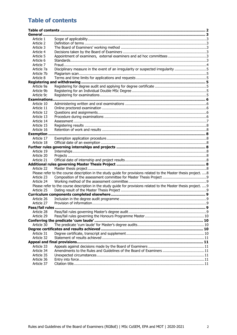# <span id="page-1-0"></span>**Table of contents**

| General.         |                                                                                                                   |  |
|------------------|-------------------------------------------------------------------------------------------------------------------|--|
| Article 1        |                                                                                                                   |  |
| Article 2        |                                                                                                                   |  |
| Article 3        |                                                                                                                   |  |
| Article 4        |                                                                                                                   |  |
| Article 5        | Appointment of examiners, external examiners and ad hoc committees3                                               |  |
| Article 6        |                                                                                                                   |  |
| Article 7        |                                                                                                                   |  |
| Article 7a       | Disciplinary measure in the event of an irregularity or suspected irregularity 5                                  |  |
| Article 7b       |                                                                                                                   |  |
| Article 8        |                                                                                                                   |  |
|                  |                                                                                                                   |  |
| Article 9a       |                                                                                                                   |  |
| Article 9b       |                                                                                                                   |  |
| Article 9c       |                                                                                                                   |  |
| Examinations     |                                                                                                                   |  |
| Article 10       |                                                                                                                   |  |
| Article 11       |                                                                                                                   |  |
| Article 12       |                                                                                                                   |  |
| Article 13       |                                                                                                                   |  |
| Article 14       |                                                                                                                   |  |
| Article 15       |                                                                                                                   |  |
| Article 16       |                                                                                                                   |  |
| <b>Exemption</b> |                                                                                                                   |  |
| Article 17       |                                                                                                                   |  |
| Article 18       |                                                                                                                   |  |
|                  |                                                                                                                   |  |
| Article 19       |                                                                                                                   |  |
| Article 20       |                                                                                                                   |  |
| Article 21       |                                                                                                                   |  |
|                  |                                                                                                                   |  |
|                  |                                                                                                                   |  |
| Article 22       |                                                                                                                   |  |
|                  | Please refer to the course description in the study guide for provisions related to the Master thesis project. 8  |  |
| Article 23       |                                                                                                                   |  |
| Article 24       |                                                                                                                   |  |
|                  | Please refer to the course description in the study guide for provisions related to the Master thesis project.  9 |  |
| Article 25       |                                                                                                                   |  |
|                  |                                                                                                                   |  |
| Article 26       |                                                                                                                   |  |
| Article 27       |                                                                                                                   |  |
|                  |                                                                                                                   |  |
| Article 28       |                                                                                                                   |  |
| Article 29       |                                                                                                                   |  |
|                  |                                                                                                                   |  |
| Article 30       |                                                                                                                   |  |
|                  |                                                                                                                   |  |
| Article 31       |                                                                                                                   |  |
| Article 32       |                                                                                                                   |  |
|                  |                                                                                                                   |  |
| Article 33       |                                                                                                                   |  |
| Article 34       | Amendments to the Rules and Guidelines of the Board of Examiners  11                                              |  |
| Article 35       |                                                                                                                   |  |
| Article 36       |                                                                                                                   |  |
| Article 37       |                                                                                                                   |  |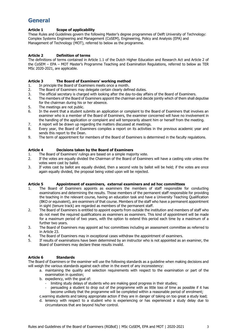# <span id="page-2-0"></span>**General**

## <span id="page-2-1"></span>**Article 1 Scope of applicability**

These Rules and Guidelines govern the following Master's degree programmes of Delft University of Technology: Complex Systems Engineering and Management (CoSEM), Engineering, Policy and Analysis (EPA) and Management of Technology (MOT), referred to below as the programme.

## <span id="page-2-2"></span>**Article 2 Definition of terms**

The definitions of terms contained in Article 1.1 of the Dutch Higher Education and Research Act and Article 2 of the CoSEM – EPA – MOT Master's Programme Teaching and Examination Regulations, referred to below as TER MSc 2020-2021, are applicable.

## <span id="page-2-3"></span>**Article 3 The Board of Examiners' working method**

- 1. In principle the Board of Examiners meets once a month.
- 2. The Board of Examiners may delegate certain clearly defined duties.
- 3. The official secretary is charged with looking after the day-to-day affairs of the Board of Examiners.
- 4. The members of the Board of Examiners appoint the chairman and decide jointly which of them shall deputise for the chairman during his or her absence.
- 5. The meetings are not public.
- 6. In the event that a student submits an application or complaint to the Board of Examiners that involves an examiner who is a member of the Board of Examiners, the examiner concerned will have no involvement in the handling of the application or complaint and will temporarily absent him or herself from the meeting.
- 7. A report will be drawn up regarding the matters discussed at meetings.
- 8. Every year, the Board of Examiners compiles a report on its activities in the previous academic year and sends this report to the Dean.
- 9. The term of appointment for members of the Board of Examiners is determined in the faculty regulations.

## <span id="page-2-4"></span>**Article 4 Decisions taken by the Board of Examiners**

- 1. The Board of Examiners' rulings are based on a simple majority vote.
- 2. If the votes are equally divided the Chairman of the Board of Examiners will have a casting vote unless the votes were cast by ballot.
- 3. If votes cast by ballot are equally divided, then a second vote by ballot will be held; if the votes are once again equally divided, the proposal being voted upon will be rejected.

## <span id="page-2-5"></span>**Article 5 Appointment of examiners, external examiners and ad hoc committees**

- 1. The Board of Examiners appoints as examiners the members of staff responsible for conducting examinations and determining the results. Those members of the permanent staff responsible for providing the teaching in the relevant course, having an education task and have a University Teaching Qualification (BKO or equivalent), are examiners of that course. Members of the staff who have a permanent appointment in sight (tenure track) are regarded as members of the permanent staff.
- 2. The Board of Examiners is entitled to appoint experts from outside the institution and members of staff who do not meet the required qualifications as examiners as examiners. This kind of appointment will be made for a maximum period of two years, with the option to extend this period each time by a maximum of a further two years.
- 3. The Board of Examiners may appoint ad hoc committees including an assessment committee as referred to in Article 23.
- 4. The Board of Examiners may in exceptional cases withdraw the appointment of examiners.
- 5. If results of examinations have been determined by an instructor who is not appointed as an examiner, the Board of Examiners may declare these results invalid.

## <span id="page-2-6"></span>**Article 6 Standards**

The Board of Examiners or the examiner will use the following standards as a guideline when making decisions and will weigh the various standards against each other in the event of any inconsistency:

- a. maintaining the quality and selection requirements with respect to the examination or part of the examination in question;
- b. expediency, with the goal of:
	- limiting study delays of students who are making good progress in their studies;
	- persuading a student to drop out of the programme with as little loss of time as possible if it has become unlikely that the programme will be completed within a reasonable period of enrolment;
- c.warning students and taking appropriate action if they are in danger of taking on too great a study load;
- d. leniency with respect to a student who is experiencing or has experienced a study delay due to circumstances that are beyond his/her control.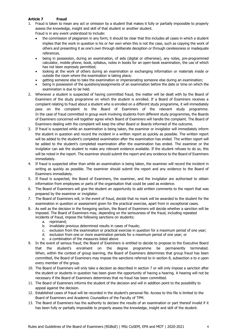## <span id="page-3-0"></span>**Article 7 Fraud**

1. Fraud is taken to mean any act or omission by a student that makes it fully or partially impossible to properly assess the knowledge, insight and skill of that student or another student.

Fraud is in any event understood to include:

- the commission of plagiarism in any form; it should be clear that this includes all cases in which a student implies that the work in question is his or her own when this is not the case, such as copying the work of others and presenting it as one's own through deliberate deception or through carelessness or inadequate references.
- being in possession, during an examination, of aids (digital or otherwise), any notes, pre-programmed calculator, mobile phone, book, syllabus, notes in books for an open-book examination, the use of which has not been expressly permitted;
- looking at the work of others during an examination or exchanging information or materials inside or outside the room where the examination is taking place;
- getting someone else to take the examination or impersonating someone else during an examination;
- being in possession of the questions/assignments of an examination before the date or time on which the examination is due to be held.
- 2. Whenever a student is suspected of having committed fraud, the matter will be dealt with by the Board of Examiners of the study programme on which the student is enrolled. If a Board of Examiners receives a complaint relating to fraud about a student who is enrolled on a different study programme, it will immediately pass on the complaint to the Board of Examiners of the relevant study programme. In the case of fraud committed in group work involving students from different study programmes, the Boards of Examiners concerned will together agree which Board of Examiners will handle the complaint. The Board of Examiners dealing with the complaint will keep the other Board or Boards informed of the outcome.
- 3. If fraud is suspected while an examination is being taken, the examiner or invigilator will immediately inform the student in question and record the incident in a written report as quickly as possible. The written report will be added to the student's completed examination after the examination has ended. The written report will be added to the student's completed examination after the examination has ended. The examiner or the invigilator can ask the student to make any relevant evidence available. If the student refuses to do so, this will be noted in the report. The examiner should submit the report and any evidence to the Board of Examiners immediately.
- 4. If fraud is suspected other than while an examination is being taken, the examiner will record the incident in writing as quickly as possible. The examiner should submit the report and any evidence to the Board of Examiners immediately.
- 5. If fraud is suspected, the Board of Examiners, the examiner, and the invigilator are authorised to obtain information from employees or parts of the organisation that could be used as evidence.
- 6. The Board of Examiners will give the student an opportunity to add written comments to the report that was prepared by the examiner or invigilator.
- 7. The Board of Examiners will, in the event of fraud, decide that no mark will be awarded to the student for the examination in question or assessment given for the practical exercise, apart from in exceptional cases.
- 8. As well as the decision in the foregoing section, the Board of Examiners will decide whether a sanction will be imposed. The Board of Examiners may, depending on the seriousness of the fraud, including repeated incidents of fraud, impose the following sanctions on students:
	- a. reprimand;
	- b. invalidate previous determined results in cases of fraude;
	- c. exclusion from the examination or practical exercise in question for a maximum period of one year;
	- d. exclusion from one or more examination periods for a maximum period of one year; or
	- e. a combination of the measures listed above
- 9. In the event of serious fraud, the Board of Examiners is entitled to decide to propose to the Executive Board that the student's enrolment on the degree programme be permanently terminated. When, within the context of group learning, the Board of Examiners determines that group fraud has been committed, the Board of Examiners may impose the sanctions referred to in section 8, subsection a to e upon every member of the group.
- 10. The Board of Examiners will only take a decision as described in section 7 or will only impose a sanction after the student or students in question has been given the opportunity of having a hearing. A hearing will not be necessary if the Board of Examiners determines that no fraud has been committed.
- 11. The Board of Examiners informs the student of the decision and will in addition point to the possibility to appeal against the decision.
- 12. Established cases of fraud will be recorded in the student's personal file. Access to this file is limited to the Board of Examiners and Academic Counsellors of the Faculty of TPM.
- 13. The Board of Examiners has the authority to declare the results of an examination or part thereof invalid if it has been fully or partially impossible to properly assess the knowledge, insight and skill of the student.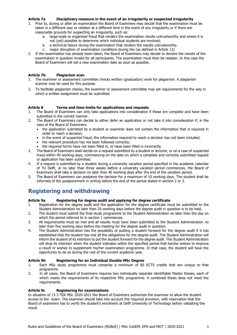## <span id="page-4-0"></span>**Article 7a Disciplinary measure in the event of an irregularity or suspected irregularity**

- 1. Prior to, during or after an examination the Board of Examiners may decide that the examination must be taken in a different way or retaken at a different time in the event of any irregularity or if there are reasonable grounds for suspecting an irregularity, such as:
	- a. large-scale or organised fraud that renders the examination results untrustworthy and where it is not (yet) possible to determine which individual students are involved;
	- b. a technical failure during the examination that renders the results untrustworthy.
	- c. major disruption of examination conditions during the (as defined in Article 13)
- 2. If the examination has already been taken, the Board of Examiners may decide to declare the results of the examination in question invalid for all participants. The examination must then be retaken. In this case the Board of Examiners will set a new examination date as soon as possible.

## <span id="page-4-1"></span>**Article 7b Plagiarism scan**

- 1. The examiner or assessment committee checks written (graduation) work for plagiarism. A plagiarism scanner may be used for this purpose.
- 2. To facilitate plagiarism checks, the examiner or assessment committee may set requirements for the way in which a written assignment must be submitted.

## <span id="page-4-2"></span>**Article 8 Terms and time limits for applications and requests**

- 1. The Board of Examiners can only take applications into consideration if these are complete and have been submitted in the correct manner.
- 2. The Board of Examiners can decide to either defer an application or not take it into consideration if, in the view of the Board of Examiners:
	- the application submitted by a student or examiner does not contain the information that is required in order to reach a decision;
	- in the event of suspected fraud, the information required to reach a decision has not been included;
	- the relevant procedure has not been followed correctly:
	- the required forms have not been filled in, or have been filled in incorrectly.
- 3. The Board of Examiners shall decide on a request submitted by a student or lecturer, or on a case of suspected fraud within 40 working days, commencing on the date on which a complete and correctly submitted request or application has been submitted.
- 4. If a request is submitted by a student during a university vacation period specified in the academic calendar of TU Delft, or no later than three weeks before a university vacation period commences, the Board of Examiners shall take a decision no later than 40 working days after the end of the vacation period.
- 5. The Board of Examiners can postpone the decision for a maximum of 10 working days. The student shall be informed of the postponement in writing before the end of the period stated in section 2 or 3.

# <span id="page-4-3"></span>**Registering and withdrawing**

## <span id="page-4-4"></span>**Article 9a Registering for degree audit and applying for degree certificate**

- 1. Registration for the degree audit and the application for the degree certificate must be submitted to the Student Administration no later than 20 working days before the degree audit in question is to be held.
- 2. The student must submit the final study programme to the Student Administration no later than the day on which the period referred to in section 1 commences.
- 3. All requirements must be met and all results must have been submitted to the Student Administration no later than five working days before the meeting for the degree audit in question.
- 4. The Student Administration has the possibility of putting a student forward for the degree audit if it has established that the student has met all the obligations for the degree audit. The Student Administration will inform the student of its intention to put the student forward for the degree audit. The Student Administration will drop its intention when the student indicates within the specified period that he/she wishes to improve a result or wishes to supplement his/her examination programme. In that case, the student will have the opportunity to do so during the rest of the current academic year.

## <span id="page-4-5"></span>**Article 9b Registering for an Individual Double MSc Degree**

- 1. Each MSc study programme must comprise a minimum of 60 ECTS credits that are unique to that programme.
- 2. In all cases, the Board of Examiners requires two individually separate identifiable Master theses, each of which meets the requirements of its respective MSc programme. A combined thesis does not meet the requirements.

## <span id="page-4-6"></span>**Article 9c Registering for examinations**

In situation of 13.3 TER MSc 2020-2021 the Board of Examiners authorizes the examiner to allow the student access to the exam. The examiner should take into account the required provision, with reservation that the Board of examiners has to verify the student's enrolment at Delft University of Technology before validating the result.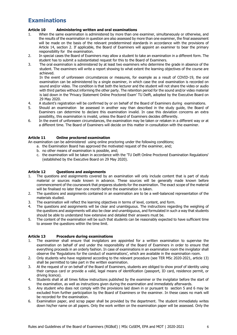# <span id="page-5-0"></span>**Examinations**

## <span id="page-5-1"></span>**Article 10 Administering written and oral examinations**

- 1. When the same examination is administered by more than one examiner, simultaneously or otherwise, and the results of the examination in question are also assessed by more than one examiner, the final assessment will be made on the basis of the relevant predetermined standards in accordance with the provisions of Article 14, section 2. If applicable, the Board of Examiners will appoint an examiner to bear the primary responsibility for the examination.
- 2. In special cases the Board of Examiners may allow a student to take an examination in a different form. The student has to submit a substantiated request for this to the Board of Examiners.
- 3. The oral examination is administered by at least two examiners who determine the grade in absence of the student. The examiners will write a report showing to what extent the learning objectives of the course are achieved.

In the event of unforeseen circumstances or measures, for example as a result of COVID-19, the oral examination can be administered by a single examiner, in which case the oral examination is recorded on sound and/or video. The condition is that both the lecturer and the student will not share the video or audio with third parties without informing the other party. The retention period for the sound and/or video material is laid down in the 'Privacy Statement Online Proctored Exam' TU Delft, adopted by the Executive Board on 29 May 2020.

- 4. A student's registration will be confirmed by or on behalf of the Board of Examiners during examinations.
- 5. Should an examination be assessed in another way than described in the study guide, the Board of Examiners can determine to declare this examination invalid. In case this deviation concerns an extra possibility, this examination is invalid, unless the Board of Examiners decides differently.
- 6. In the event of unforeseen circumstances, the examination may be taken or retaken in a different way or at a different time. The Board of Examiners will decide on this matter in consultation with the examiner.

## <span id="page-5-2"></span>**Article 11 Online proctored examination**

An examination can be administered using online proctoring under the following conditions;

- a. the Examination Board has approved the motivated request of the examiner, and;
	- b. no other means of examination is possible, and;
	- c. the examination will be taken in accordance with the 'TU Delft Online Proctored Examination Regulations' (established by the Executive Board on 29 May 2020).

## <span id="page-5-3"></span>**Article 12 Questions and assignments**

- 1. The questions and assignments covered by an examination will only include content that is part of study material or sources made known in advance. These sources will be generally made known before commencement of the coursework that prepares students for the examination. The exact scope of the material will be finalised no later than one month before the examination is taken.
- 2. The questions and assignments contained in an examination are to be a well-balanced representation of the materials studied.
- 3. The examination will reflect the learning objectives in terms of level, content, and form.
- 4. The questions and assignments will be clear and unambiguous. The instructions regarding the weighing of the questions and assignments will also be clear and unambiguous, and formulated in such a way that students should be able to understand how extensive and detailed their answers must be.
- 5. The content of the examination will be such that students can be reasonably expected to have sufficient time to answer the questions within the time limit.

## <span id="page-5-4"></span>**Article 13 Procedure during examinations**

- 1. The examiner shall ensure that invigilators are appointed for a written examination to supervise the examination on behalf of and under the responsibility of the Board of Examiners in order to ensure that everything proceeds in an orderly fashion. In case of examinations in an examination room the invigilator shall observe the 'Regulations for the conduct of examinations', which are available in the examination room.
- 2. Only students who have registered according to the relevant procedure (see TER MSc 2020-2021, article 13) shall be permitted to take part in the written examination.
- 3. At the request of or on behalf of the Board of Examiners, students are obliged to show proof of identity using their campus card or provide a valid, legal means of identification (passport, ID card, residence permit, or driving licence).
- 4. Students shall at all times follow instructions published by the examiner or the invigilator before the start of the examination, as well as instructions given during the examination and immediately afterwards.
- 5. Any student who does not comply with the provisions laid down in or pursuant to section 5 and 6 may be excluded from further participation by the Board of Examiners or the examiner. In these cases no mark will be recorded for the examination.
- 6. Examination paper, and scrap paper shall be provided by the department. The student immediately writes down his/her name on all papers. Only the work written on the examination paper will be assessed. Only the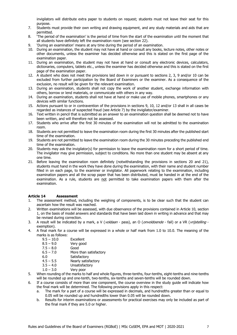invigilators will distribute extra paper to students on request; students must not leave their seat for this purpose.

- 7. Students must provide their own writing and drawing equipment, and any study materials and aids that are permitted.
- 8. 'The period of the examination' is the period of time from the start of the examination until the moment that all students have definitely left the examination room (see section 22).
- 9. 'During an examination' means at any time during the period of an examination.
- 10. During an examination, the student may not have at hand or consult any books, lecture notes, other notes or other documents, unless the examiner has decided otherwise and this is stated on the first page of the examination paper.
- 11. During an examination, the student may not have at hand or consult any electronic devices, calculators, dictionaries, computers, tablets etc., unless the examiner has decided otherwise and this is stated on the first page of the examination paper.
- 12. A student who does not meet the provisions laid down in or pursuant to sections 2, 3, 9 and/or 10 can be excluded from further participation by the Board of Examiners or the examiner. As a consequence of the exclusion, no result will be given for the relevant examination.
- 13. During an examination, students shall not copy the work of another student, exchange information with others, borrow or lend materials, or communicate with others in any way.
- 14. During an examination, students shall not have at hand or make use of mobile phones, smartphones or any devices with similar functions.
- 15. Actions pursuant to or in contravention of the provisions in sections 9, 10, 12 and/or 13 shall in all cases be regarded as instances of suspected fraud (see Article 7) by the invigilator/examiner.
- 16. Text written in pencil that is submitted as an answer to an examination question shall be deemed not to have been written, and will therefore not be assessed.
- 17. Students who arrive after the first 30 minutes of the examination will not be admitted to the examination room.
- 18. Students are not permitted to leave the examination room during the first 30 minutes after the published start time of the examination.
- 19. Students are not permitted to leave the examination room during the 30 minutes preceding the published end time of the examination.
- 20. Students may ask the invigilator(s) for permission to leave the examination room for a short period of time. The invigilator may give permission, subject to conditions. No more than one student may be absent at any one time.
- 21. Before leaving the examination room definitely (notwithstanding the provisions in sections 20 and 21), students must hand in the work they have done during the examination, with their name and student number filled in on each page, to the examiner or invigilator. All paperwork relating to the examination, including examination papers and all the scrap paper that has been distributed, must be handed in at the end of the examination. As a rule, students are not permitted to take examination papers with them after the examination.

## <span id="page-6-0"></span>**Article 14 Assessment**

- 1. The assessment method, including the weighing of components, is to be clear such that the student can ascertain how the result was reached.
- 2. Written examinations will be assessed, with due observance of the provisions contained in Article 10, section 1, on the basis of model answers and standards that have been laid down in writing in advance and that may be revised during correction.
- 3. A result will be indicated by a mark, a V (*voldaan pass*), an O (*onvoldoende fail*) or a VR (*vrijstelling* exemption).
- 4. A final mark for a course will be expressed in a whole or half mark from 1.0 to 10.0. The meaning of the marks is as follows:
	- 9.5 10.0 Excellent
	- 8.5 9.0 Very good
	- 7.5 8.0 Good
	- 6.5 7.0 More than satisfactory
	- 6.0 Satisfactory
	- 4.5 5.5 Nearly satisfactory
	- $3.5 4.0$  Unsatisfactory<br> $1.0 3.0$  Verv poor
	- Very poor
- 5. When rounding of the marks to half and whole figures, three-tenths, four-tenths, eight-tenths and nine-tenths will be rounded up and one-tenth, two-tenths, six-tenths and seven-tenths will be rounded down.
- 6. If a course consists of more than one component, the course overview in the study guide will indicate how the final mark will be determined. The following provisions apply in this respect:
	- a. The mark for a part of a course will be expressed in decimals, and hundredths greater than or equal to 0.05 will be rounded up and hundredths lower than 0.05 will be rounded down.
	- b. Results for interim examinations or assessments for practical exercises may only be included as part of the final mark if they are 5.0 or higher.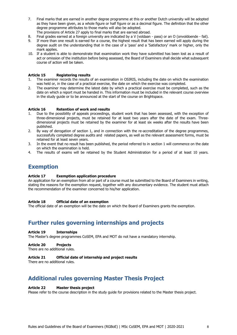- 7. Final marks that are earned in another degree programme at this or another Dutch university will be adopted as they have been given, as a whole figure or half figure or as a decimal figure. The definition that the other degree programme attributes to those marks will also be adopted.
	- The provisions of Article 27 apply to final marks that are earned abroad.
- 8. Final grades earned at a foreign university are indicated by a V (voldaan pass) or an O (onvoldoende fail).
- 9. If more than one result is earned for a course, the highest result that has been earned will apply during the degree audit on the understanding that in the case of a 'pass' and a 'Satisfactory' mark or higher, only the mark applies.
- 10. If a student is able to demonstrate that examination work they have submitted has been lost as a result of act or omission of the institution before being assessed, the Board of Examiners shall decide what subsequent course of action will be taken.

### <span id="page-7-0"></span>**Article 15 Registering results**

- 1. The examiner records the results of an examination in OSIRIS, including the date on which the examination was held or, in the case of a practical exercise, the date on which the exercise was completed.
- 2. The examiner may determine the latest date by which a practical exercise must be completed, such as the date on which a report must be handed in. This information must be included in the relevant course overview in the study guide or to be announced at the start of the course on Brightspace.

## <span id="page-7-1"></span>**Article 16 Retention of work and results**

- 1. Due to the possibility of appeals proceedings, student work that has been assessed, with the exception of three-dimensional projects, must be retained for at least two years after the date of the exam. Threedimensional projects must be retained by the examiner for at least six weeks after the results have been published.
- 2. By way of derogation of section 1, and in connection with the re-accreditation of the degree programmes, successfully completed degree audits and related papers, as well as the relevant assessment forms, must be retained for at least seven years.
- 3. In the event that no result has been published, the period referred to in section 1 will commence on the date on which the examination is held.
- 4. The results of exams will be retained by the Student Administration for a period of at least 10 years.

## <span id="page-7-2"></span>**Exemption**

### <span id="page-7-3"></span>**Article 17 Exemption application procedure**

An application for an exemption from all or part of a course must be submitted to the Board of Examiners in writing, stating the reasons for the exemption request, together with any documentary evidence. The student must attach the recommendation of the examiner concerned to his/her application.

#### <span id="page-7-4"></span>**Article 18 Official date of an exemption**

The official date of an exemption will be the date on which the Board of Examiners grants the exemption.

# <span id="page-7-5"></span>**Further rules governing internships and projects**

#### <span id="page-7-6"></span>**Article 19 Internships**

The Master's degree programmes CoSEM, EPA and MOT do not have a mandatory internship.

## <span id="page-7-7"></span>**Article 20 Projects**

There are no additional rules.

## <span id="page-7-8"></span>**Article 21 Official date of internship and project results**

There are no additional rules.

# <span id="page-7-9"></span>**Additional rules governing Master Thesis Project**

## <span id="page-7-10"></span>**Article 22 Master thesis project**

<span id="page-7-12"></span><span id="page-7-11"></span>Please refer to the course description in the study guide for provisions related to the Master thesis project.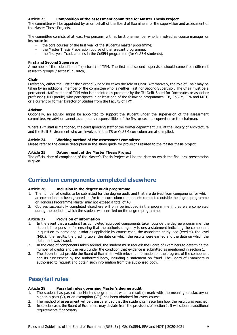## **Article 23 Composition of the assessment committee for Master Thesis Project**

The committee will be appointed by or on behalf of the Board of Examiners for the supervision and assessment of the Master Thesis Projects.

The committee consists of at least two persons, with at least one member who is involved as course manager or instructor in:

- the core courses of the first year of the student's master programme;
- the Master Thesis Preparation course of the relevant programme;
- the first-year Track courses in the CoSEM programme (for CoSEM students).

#### **First and Second Supervisor**

A member of the scientific staff (lecturer) of TPM. The first and second supervisor should come from different research groups ("secties" in Dutch).

#### **Chair**

Preferably, either the First or the Second Supervisor takes the role of Chair. Alternatively, the role of Chair may be taken by an additional member of the committee who is neither First nor Second Supervisor. The Chair must be a permanent staff member of TPM who is appointed as promotor by the TU Delft Board for Doctorates or associate professor (UHD-profile) who participates in at least one of the following programmes: TB, CoSEM, EPA and MOT, or a current or former Director of Studies from the Faculty of TPM.

### **Advisor**

Optionally, an advisor might be appointed to support the student under the supervision of the assessment committee. An advisor cannot assume any responsibilities of the first or second supervisor or the chairman.

Where TPM staff is mentioned, the corresponding staff of the former department OTB at the Faculty of Architecture and the Built Environment who are involved in the TB or CoSEM curriculum are also implied.

### <span id="page-8-0"></span>**Article 24 Working method of the assessment committee**

<span id="page-8-2"></span><span id="page-8-1"></span>Please refer to the course description in the study guide for provisions related to the Master thesis project.

### **Article 25 Dating result of the Master Thesis Project**

The official date of completion of the Master's Thesis Project will be the date on which the final oral presentation is given.

# <span id="page-8-3"></span>**Curriculum components completed elsewhere**

#### <span id="page-8-4"></span>**Article 26 Inclusion in the degree audit programme**

- 1. The number of credits to be submitted for the degree audit and that are derived from components for which an exemption has been granted and/or from curriculum components completed outside the degree programme or Honours Programme Master may not exceed a total of 40.
- 2. Courses successfully completed elsewhere will only be included in the programme if they were completed during the period in which the student was enrolled on the degree programme.

## <span id="page-8-5"></span>**Article 27 Provision of information**

- 1. In the event that a student has completed approved components taken outside the degree programme, the student is responsible for ensuring that the authorised agency issues a statement indicating the component in question by name and insofar as applicable by course code, the associated study load (credits), the level (MSc), the results, the grading table, the date on which the results were earned and the date on which the statement was issued.
- 2. In the case of components taken abroad, the student must request the Board of Examiners to determine the number of credits and the result under the condition that evidence is submitted as mentioned in section 1.
- 3. The student must provide the Board of Examiners with relevant information on the progress of the component and its assessment by the authorized body, including a statement on fraud. The Board of Examiners is authorised to request and obtain such information from the authorised body.

## <span id="page-8-6"></span>**Pass/fail rules**

## <span id="page-8-7"></span>**Article 28 Pass/fail rules governing Master's degree audit**

- 1. The student has passed the Master's degree audit when a result (a mark with the meaning satisfactory or higher, a pass (V), or an exemption (VR)) has been obtained for every course.
- 2. The method of assessment will be transparent so that the student can ascertain how the result was reached.
- 3. In special cases the Board of Examiners may deviate from the provisions of section 1. It will stipulate additional requirements if necessary.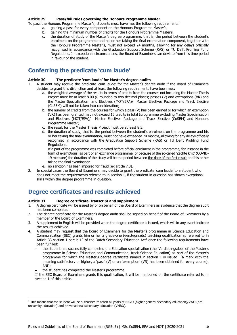### <span id="page-9-0"></span>**Article 29 Pass/fail rules governing the Honours Programme Master**

To pass the Honours Programme Master's, students must have met the following requirements:

- a. gaining a pass for every component on the Honours Programme Master's;
- b. gaining the minimum number of credits for the Honours Programme Master's.
- c. the duration of study of the Master's degree programme, that is, the period between the student's enrolment on the programme and his or her taking the final examination component, together with the Honours Programme Master's, must not exceed 24 months, allowing for any delays officially recognised in accordance with the Graduation Support Scheme (RAS) or TU Delft Profiling Fund Regulations. In exceptional circumstances, the Board of Examiners can deviate from this time period in favour of the student.

## <span id="page-9-1"></span>**Conferring the predicate 'cum laude'**

## <span id="page-9-2"></span>**Article 30 The predicate 'cum laude' for Master's degree audits**

- 1. A student may receive the predicate 'cum laude' for the Master's degree audit if the Board of Examiners decides to grant this distinction and at least the following requirements have been met:
	- a. the weighted average of the results in terms of credits from the courses not including the Master Thesis Project must be at least 8.00 (8 rounded to two decimal places; passes (V) and exemptions (VR) and the Master Specialisation and Electives (MOT/EPA)/ Master Electives Package and Track Elective (CoSEM) will not be taken into consideration;
	- b. the number of credits from the courses for which a pass (V) has been earned or for which an exemption (VR) has been granted may not exceed 15 credits in total (programme excluding Master Specialisation and Electives (MOT/EPA)/ Master Electives Package and Track Elective (CoSEM) and Honours Programme Master).
	- c. the result for the Master Thesis Project must be at least 8.5.
	- d. the duration of study, that is, the period between the student's enrolment on the programme and his or her taking the final examination, must not have exceeded 24 months, allowing for any delays officially recognised in accordance with the Graduation Support Scheme (RAS) or TU Delft Profiling Fund Regulations.

If a part of the programme was completed before official enrolment in the programme, for instance in the form of exemptions, as part of an exchange programme, or because of the so-called 'Zachte knip' (COVID-19 measure) the duration of the study will be the period between the date of the first result and his or her taking the final examination.

- e. no sanction has been imposed for fraud (ex article 7.8).
- 2. In special cases the Board of Examiners may decide to grant the predicate 'cum laude' to a student who does not meet the requirements referred to in section 1, if the student in question has shown exceptional skills within the degree programme in question.

# <span id="page-9-3"></span>**Degree certificates and results achieved**

## <span id="page-9-4"></span>**Article 31 Degree certificate, transcript and supplement**

- 1. A degree certificate will be issued by or on behalf of the Board of Examiners as evidence that the degree audit has been completed.
- 2. The degree certificate for the Master's degree audit shall be signed on behalf of the Board of Examiners by a member of the Board of Examiners.
- 3. A supplement in English will be provided when the degree certificate is issued, which will in any event indicate the results achieved.
- 4. A student may request that the Board of Examiners for the Master's programme in Science Education and Communication (SEC) grants him or her a grade-one (eerstegraads) teaching qualification as referred to in Article 33 section 1 part b 1 $^{\circ}$  of the Dutch Secondary Education Act<sup>1</sup> once the following requirements have been fulfilled:
	- the student has successfully completed the Education specialisation (the 'Verdiepingsdeel' of the Master's programme in Science Education and Communication, track Science Education) as part of the Master's programme for which the Master's degree certificate named in section 1 is issued (a mark with the meaning satisfactory or higher, a 'pass' (V) or an 'exemption' (VR) has been obtained for every course), AND;
	- the student has completed the Master's programme.

j

If the SEC Board of Examiners grants this qualification, it will be mentioned on the certificate referred to in section 1 of this article.

 $1$  This means that the student will be authorised to teach all years of HAVO (higher general secondary education)/VWO (preuniversity education) and prevocational secondary education (VMBO).